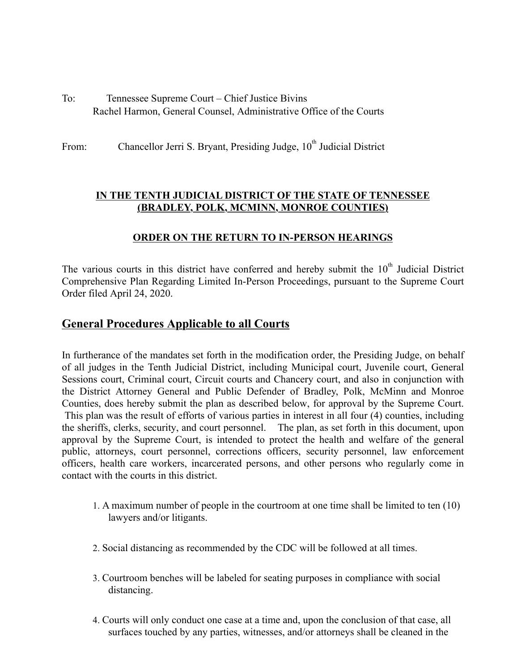- To: Tennessee Supreme Court Chief Justice Bivins Rachel Harmon, General Counsel, Administrative Office of the Courts
- From: Chancellor Jerri S. Bryant, Presiding Judge, 10<sup>th</sup> Judicial District

#### **IN THE TENTH JUDICIAL DISTRICT OF THE STATE OF TENNESSEE (BRADLEY, POLK, MCMINN, MONROE COUNTIES)**

### **ORDER ON THE RETURN TO IN-PERSON HEARINGS**

The various courts in this district have conferred and hereby submit the  $10<sup>th</sup>$  Judicial District Comprehensive Plan Regarding Limited In-Person Proceedings, pursuant to the Supreme Court Order filed April 24, 2020.

# **General Procedures Applicable to all Courts**

In furtherance of the mandates set forth in the modification order, the Presiding Judge, on behalf of all judges in the Tenth Judicial District, including Municipal court, Juvenile court, General Sessions court, Criminal court, Circuit courts and Chancery court, and also in conjunction with the District Attorney General and Public Defender of Bradley, Polk, McMinn and Monroe Counties, does hereby submit the plan as described below, for approval by the Supreme Court. This plan was the result of efforts of various parties in interest in all four (4) counties, including the sheriffs, clerks, security, and court personnel. The plan, as set forth in this document, upon approval by the Supreme Court, is intended to protect the health and welfare of the general public, attorneys, court personnel, corrections officers, security personnel, law enforcement officers, health care workers, incarcerated persons, and other persons who regularly come in contact with the courts in this district.

- 1. A maximum number of people in the courtroom at one time shall be limited to ten (10) lawyers and/or litigants.
- 2. Social distancing as recommended by the CDC will be followed at all times.
- 3. Courtroom benches will be labeled for seating purposes in compliance with social distancing.
- 4. Courts will only conduct one case at a time and, upon the conclusion of that case, all surfaces touched by any parties, witnesses, and/or attorneys shall be cleaned in the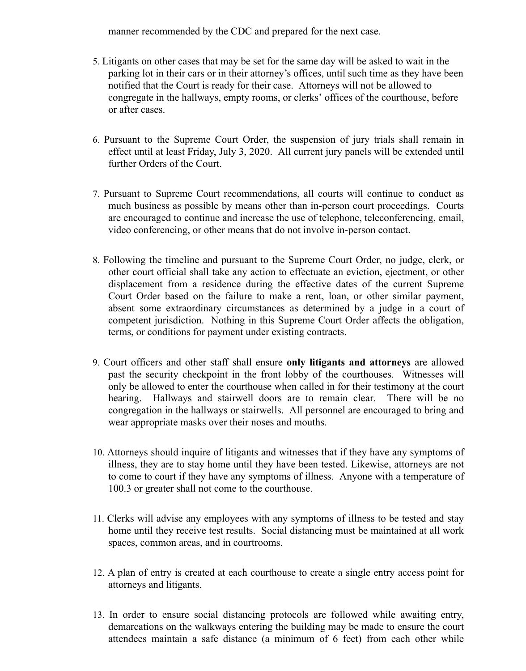manner recommended by the CDC and prepared for the next case.

- 5. Litigants on other cases that may be set for the same day will be asked to wait in the parking lot in their cars or in their attorney's offices, until such time as they have been notified that the Court is ready for their case. Attorneys will not be allowed to congregate in the hallways, empty rooms, or clerks' offices of the courthouse, before or after cases.
- 6. Pursuant to the Supreme Court Order, the suspension of jury trials shall remain in effect until at least Friday, July 3, 2020. All current jury panels will be extended until further Orders of the Court.
- 7. Pursuant to Supreme Court recommendations, all courts will continue to conduct as much business as possible by means other than in-person court proceedings. Courts are encouraged to continue and increase the use of telephone, teleconferencing, email, video conferencing, or other means that do not involve in-person contact.
- 8. Following the timeline and pursuant to the Supreme Court Order, no judge, clerk, or other court official shall take any action to effectuate an eviction, ejectment, or other displacement from a residence during the effective dates of the current Supreme Court Order based on the failure to make a rent, loan, or other similar payment, absent some extraordinary circumstances as determined by a judge in a court of competent jurisdiction. Nothing in this Supreme Court Order affects the obligation, terms, or conditions for payment under existing contracts.
- 9. Court officers and other staff shall ensure **only litigants and attorneys** are allowed past the security checkpoint in the front lobby of the courthouses. Witnesses will only be allowed to enter the courthouse when called in for their testimony at the court hearing. Hallways and stairwell doors are to remain clear. There will be no congregation in the hallways or stairwells. All personnel are encouraged to bring and wear appropriate masks over their noses and mouths.
- 10. Attorneys should inquire of litigants and witnesses that if they have any symptoms of illness, they are to stay home until they have been tested. Likewise, attorneys are not to come to court if they have any symptoms of illness. Anyone with a temperature of 100.3 or greater shall not come to the courthouse.
- 11. Clerks will advise any employees with any symptoms of illness to be tested and stay home until they receive test results. Social distancing must be maintained at all work spaces, common areas, and in courtrooms.
- 12. A plan of entry is created at each courthouse to create a single entry access point for attorneys and litigants.
- 13. In order to ensure social distancing protocols are followed while awaiting entry, demarcations on the walkways entering the building may be made to ensure the court attendees maintain a safe distance (a minimum of 6 feet) from each other while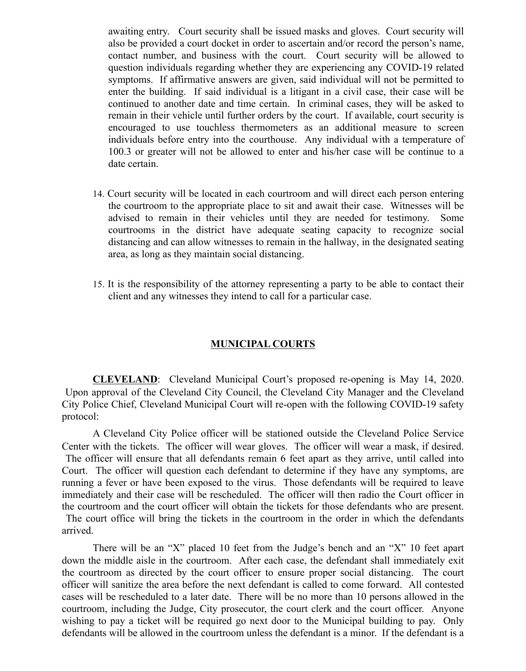awaiting entry. Court security shall be issued masks and gloves. Court security will also be provided a court docket in order to ascertain and/or record the person's name, contact number, and business with the court. Court security will be allowed to question individuals regarding whether they are experiencing any COVID-19 related symptoms. If affirmative answers are given, said individual will not be permitted to enter the building. If said individual is a litigant in a civil case, their case will be continued to another date and time certain. In criminal cases, they will be asked to remain in their vehicle until further orders by the court. If available, court security is encouraged to use touchless thermometers as an additional measure to screen individuals before entry into the courthouse. Any individual with a temperature of 100.3 or greater will not be allowed to enter and his/her case will be continue to a date certain.

- 14. Court security will be located in each courtroom and will direct each person entering the courtroom to the appropriate place to sit and await their case. Witnesses will be advised to remain in their vehicles until they are needed for testimony. Some courtrooms in the district have adequate seating capacity to recognize social distancing and can allow witnesses to remain in the hallway, in the designated seating area, as long as they maintain social distancing.
- 15. It is the responsibility of the attorney representing a party to be able to contact their client and any witnesses they intend to call for a particular case.

#### **MUNICIPAL COURTS**

**CLEVELAND**: Cleveland Municipal Court's proposed re-opening is May 14, 2020. Upon approval of the Cleveland City Council, the Cleveland City Manager and the Cleveland City Police Chief, Cleveland Municipal Court will re-open with the following COVID-19 safety protocol:

A Cleveland City Police officer will be stationed outside the Cleveland Police Service Center with the tickets. The officer will wear gloves. The officer will wear a mask, if desired. The officer will ensure that all defendants remain 6 feet apart as they arrive, until called into Court. The officer will question each defendant to determine if they have any symptoms, are running a fever or have been exposed to the virus. Those defendants will be required to leave immediately and their case will be rescheduled. The officer will then radio the Court officer in the courtroom and the court officer will obtain the tickets for those defendants who are present. The court office will bring the tickets in the courtroom in the order in which the defendants arrived.

There will be an "X" placed 10 feet from the Judge's bench and an "X" 10 feet apart down the middle aisle in the courtroom. After each case, the defendant shall immediately exit the courtroom as directed by the court officer to ensure proper social distancing. The court officer will sanitize the area before the next defendant is called to come forward. All contested cases will be rescheduled to a later date. There will be no more than 10 persons allowed in the courtroom, including the Judge, City prosecutor, the court clerk and the court officer. Anyone wishing to pay a ticket will be required go next door to the Municipal building to pay. Only defendants will be allowed in the courtroom unless the defendant is a minor. If the defendant is a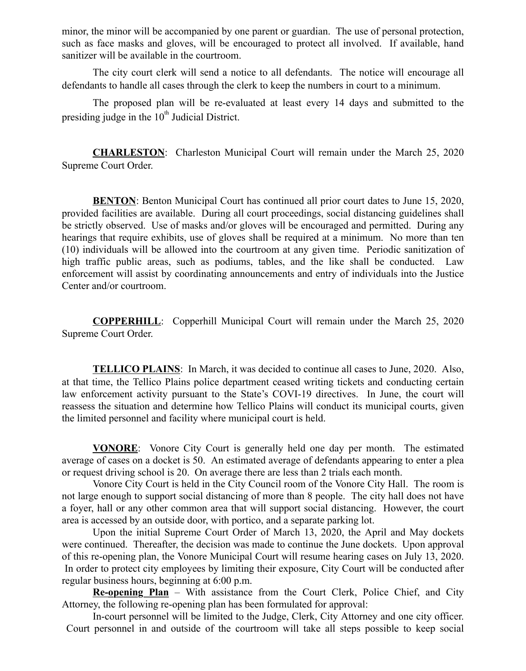minor, the minor will be accompanied by one parent or guardian. The use of personal protection, such as face masks and gloves, will be encouraged to protect all involved. If available, hand sanitizer will be available in the courtroom.

The city court clerk will send a notice to all defendants. The notice will encourage all defendants to handle all cases through the clerk to keep the numbers in court to a minimum.

The proposed plan will be re-evaluated at least every 14 days and submitted to the presiding judge in the  $10<sup>th</sup>$  Judicial District.

**CHARLESTON**: Charleston Municipal Court will remain under the March 25, 2020 Supreme Court Order.

**BENTON:** Benton Municipal Court has continued all prior court dates to June 15, 2020, provided facilities are available. During all court proceedings, social distancing guidelines shall be strictly observed. Use of masks and/or gloves will be encouraged and permitted. During any hearings that require exhibits, use of gloves shall be required at a minimum. No more than ten (10) individuals will be allowed into the courtroom at any given time. Periodic sanitization of high traffic public areas, such as podiums, tables, and the like shall be conducted. Law enforcement will assist by coordinating announcements and entry of individuals into the Justice Center and/or courtroom.

**COPPERHILL**: Copperhill Municipal Court will remain under the March 25, 2020 Supreme Court Order.

**TELLICO PLAINS:** In March, it was decided to continue all cases to June, 2020. Also, at that time, the Tellico Plains police department ceased writing tickets and conducting certain law enforcement activity pursuant to the State's COVI-19 directives. In June, the court will reassess the situation and determine how Tellico Plains will conduct its municipal courts, given the limited personnel and facility where municipal court is held.

**VONORE**: Vonore City Court is generally held one day per month. The estimated average of cases on a docket is 50. An estimated average of defendants appearing to enter a plea or request driving school is 20. On average there are less than 2 trials each month.

Vonore City Court is held in the City Council room of the Vonore City Hall. The room is not large enough to support social distancing of more than 8 people. The city hall does not have a foyer, hall or any other common area that will support social distancing. However, the court area is accessed by an outside door, with portico, and a separate parking lot.

Upon the initial Supreme Court Order of March 13, 2020, the April and May dockets were continued. Thereafter, the decision was made to continue the June dockets. Upon approval of this re-opening plan, the Vonore Municipal Court will resume hearing cases on July 13, 2020. In order to protect city employees by limiting their exposure, City Court will be conducted after regular business hours, beginning at 6:00 p.m.

**Re-opening Plan** – With assistance from the Court Clerk, Police Chief, and City Attorney, the following re-opening plan has been formulated for approval:

In-court personnel will be limited to the Judge, Clerk, City Attorney and one city officer. Court personnel in and outside of the courtroom will take all steps possible to keep social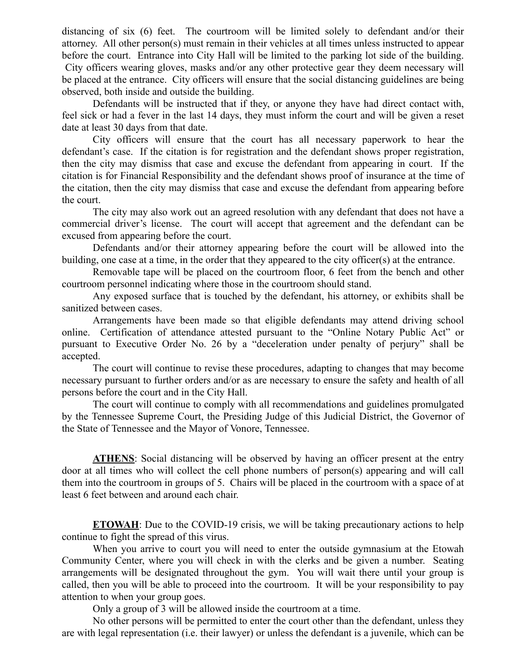distancing of six (6) feet. The courtroom will be limited solely to defendant and/or their attorney. All other person(s) must remain in their vehicles at all times unless instructed to appear before the court. Entrance into City Hall will be limited to the parking lot side of the building. City officers wearing gloves, masks and/or any other protective gear they deem necessary will be placed at the entrance. City officers will ensure that the social distancing guidelines are being observed, both inside and outside the building.

Defendants will be instructed that if they, or anyone they have had direct contact with, feel sick or had a fever in the last 14 days, they must inform the court and will be given a reset date at least 30 days from that date.

City officers will ensure that the court has all necessary paperwork to hear the defendant's case. If the citation is for registration and the defendant shows proper registration, then the city may dismiss that case and excuse the defendant from appearing in court. If the citation is for Financial Responsibility and the defendant shows proof of insurance at the time of the citation, then the city may dismiss that case and excuse the defendant from appearing before the court.

The city may also work out an agreed resolution with any defendant that does not have a commercial driver's license. The court will accept that agreement and the defendant can be excused from appearing before the court.

Defendants and/or their attorney appearing before the court will be allowed into the building, one case at a time, in the order that they appeared to the city officer(s) at the entrance.

Removable tape will be placed on the courtroom floor, 6 feet from the bench and other courtroom personnel indicating where those in the courtroom should stand.

Any exposed surface that is touched by the defendant, his attorney, or exhibits shall be sanitized between cases.

Arrangements have been made so that eligible defendants may attend driving school online. Certification of attendance attested pursuant to the "Online Notary Public Act" or pursuant to Executive Order No. 26 by a "deceleration under penalty of perjury" shall be accepted.

The court will continue to revise these procedures, adapting to changes that may become necessary pursuant to further orders and/or as are necessary to ensure the safety and health of all persons before the court and in the City Hall.

The court will continue to comply with all recommendations and guidelines promulgated by the Tennessee Supreme Court, the Presiding Judge of this Judicial District, the Governor of the State of Tennessee and the Mayor of Vonore, Tennessee.

**ATHENS**: Social distancing will be observed by having an officer present at the entry door at all times who will collect the cell phone numbers of person(s) appearing and will call them into the courtroom in groups of 5. Chairs will be placed in the courtroom with a space of at least 6 feet between and around each chair.

**ETOWAH**: Due to the COVID-19 crisis, we will be taking precautionary actions to help continue to fight the spread of this virus.

When you arrive to court you will need to enter the outside gymnasium at the Etowah Community Center, where you will check in with the clerks and be given a number. Seating arrangements will be designated throughout the gym. You will wait there until your group is called, then you will be able to proceed into the courtroom. It will be your responsibility to pay attention to when your group goes.

Only a group of 3 will be allowed inside the courtroom at a time.

No other persons will be permitted to enter the court other than the defendant, unless they are with legal representation (i.e. their lawyer) or unless the defendant is a juvenile, which can be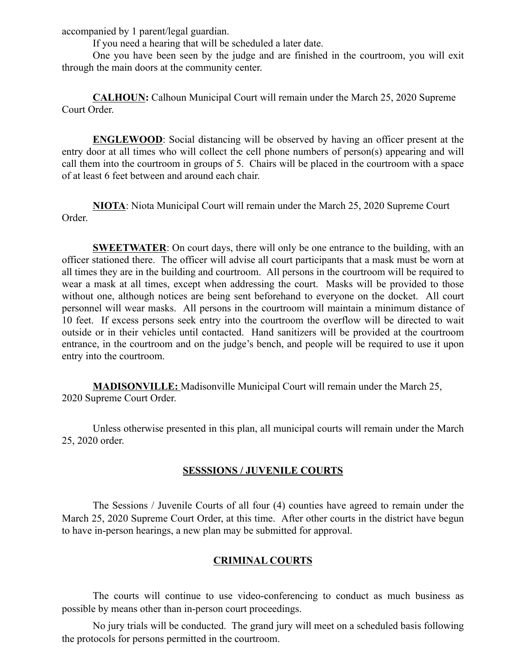accompanied by 1 parent/legal guardian.

If you need a hearing that will be scheduled a later date.

One you have been seen by the judge and are finished in the courtroom, you will exit through the main doors at the community center.

**CALHOUN:** Calhoun Municipal Court will remain under the March 25, 2020 Supreme Court Order.

**ENGLEWOOD**: Social distancing will be observed by having an officer present at the entry door at all times who will collect the cell phone numbers of person(s) appearing and will call them into the courtroom in groups of 5. Chairs will be placed in the courtroom with a space of at least 6 feet between and around each chair.

**NIOTA**: Niota Municipal Court will remain under the March 25, 2020 Supreme Court Order.

**SWEETWATER:** On court days, there will only be one entrance to the building, with an officer stationed there. The officer will advise all court participants that a mask must be worn at all times they are in the building and courtroom. All persons in the courtroom will be required to wear a mask at all times, except when addressing the court. Masks will be provided to those without one, although notices are being sent beforehand to everyone on the docket. All court personnel will wear masks. All persons in the courtroom will maintain a minimum distance of 10 feet. If excess persons seek entry into the courtroom the overflow will be directed to wait outside or in their vehicles until contacted. Hand sanitizers will be provided at the courtroom entrance, in the courtroom and on the judge's bench, and people will be required to use it upon entry into the courtroom.

**MADISONVILLE:** Madisonville Municipal Court will remain under the March 25, 2020 Supreme Court Order.

Unless otherwise presented in this plan, all municipal courts will remain under the March 25, 2020 order.

### **SESSSIONS / JUVENILE COURTS**

The Sessions / Juvenile Courts of all four (4) counties have agreed to remain under the March 25, 2020 Supreme Court Order, at this time. After other courts in the district have begun to have in-person hearings, a new plan may be submitted for approval.

## **CRIMINAL COURTS**

The courts will continue to use video-conferencing to conduct as much business as possible by means other than in-person court proceedings.

No jury trials will be conducted. The grand jury will meet on a scheduled basis following the protocols for persons permitted in the courtroom.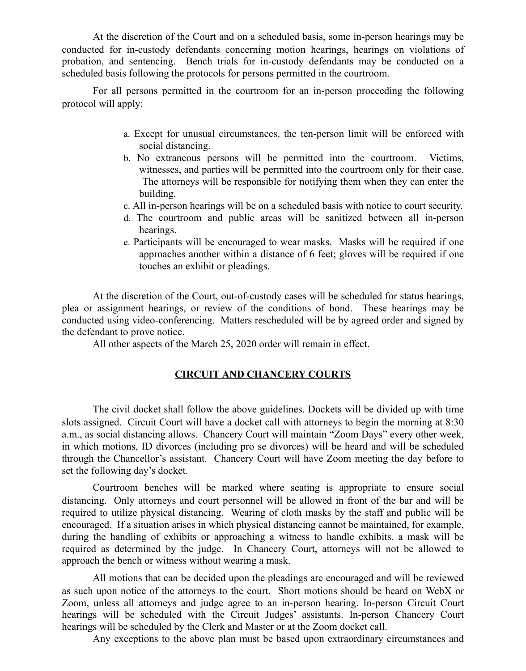At the discretion of the Court and on a scheduled basis, some in-person hearings may be conducted for in-custody defendants concerning motion hearings, hearings on violations of probation, and sentencing. Bench trials for in-custody defendants may be conducted on a scheduled basis following the protocols for persons permitted in the courtroom.

For all persons permitted in the courtroom for an in-person proceeding the following protocol will apply:

- a. Except for unusual circumstances, the ten-person limit will be enforced with social distancing.
- b. No extraneous persons will be permitted into the courtroom. Victims, witnesses, and parties will be permitted into the courtroom only for their case. The attorneys will be responsible for notifying them when they can enter the building.
- c. All in-person hearings will be on a scheduled basis with notice to court security.
- d. The courtroom and public areas will be sanitized between all in-person hearings.
- e. Participants will be encouraged to wear masks. Masks will be required if one approaches another within a distance of 6 feet; gloves will be required if one touches an exhibit or pleadings.

At the discretion of the Court, out-of-custody cases will be scheduled for status hearings, plea or assignment hearings, or review of the conditions of bond. These hearings may be conducted using video-conferencing. Matters rescheduled will be by agreed order and signed by the defendant to prove notice.

All other aspects of the March 25, 2020 order will remain in effect.

# **CIRCUIT AND CHANCERY COURTS**

The civil docket shall follow the above guidelines. Dockets will be divided up with time slots assigned. Circuit Court will have a docket call with attorneys to begin the morning at 8:30 a.m., as social distancing allows. Chancery Court will maintain "Zoom Days" every other week, in which motions, ID divorces (including pro se divorces) will be heard and will be scheduled through the Chancellor's assistant. Chancery Court will have Zoom meeting the day before to set the following day's docket.

Courtroom benches will be marked where seating is appropriate to ensure social distancing. Only attorneys and court personnel will be allowed in front of the bar and will be required to utilize physical distancing. Wearing of cloth masks by the staff and public will be encouraged. If a situation arises in which physical distancing cannot be maintained, for example, during the handling of exhibits or approaching a witness to handle exhibits, a mask will be required as determined by the judge. In Chancery Court, attorneys will not be allowed to approach the bench or witness without wearing a mask.

All motions that can be decided upon the pleadings are encouraged and will be reviewed as such upon notice of the attorneys to the court. Short motions should be heard on WebX or Zoom, unless all attorneys and judge agree to an in-person hearing. In-person Circuit Court hearings will be scheduled with the Circuit Judges' assistants. In-person Chancery Court hearings will be scheduled by the Clerk and Master or at the Zoom docket call.

Any exceptions to the above plan must be based upon extraordinary circumstances and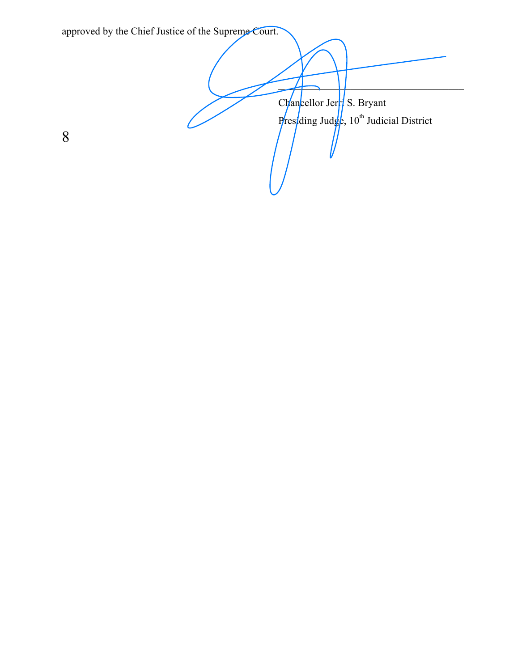